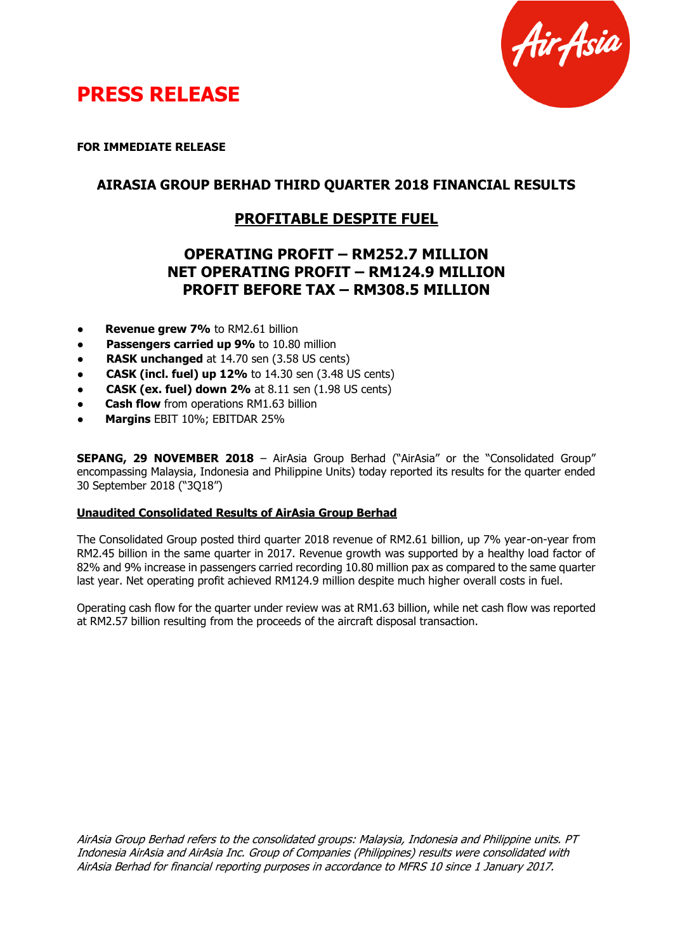



**FOR IMMEDIATE RELEASE**

## **AIRASIA GROUP BERHAD THIRD QUARTER 2018 FINANCIAL RESULTS**

# **PROFITABLE DESPITE FUEL**

# **OPERATING PROFIT – RM252.7 MILLION NET OPERATING PROFIT – RM124.9 MILLION PROFIT BEFORE TAX – RM308.5 MILLION**

- **Revenue grew 7%** to RM2.61 billion
- **Passengers carried up 9%** to 10.80 million
- **RASK unchanged** at 14.70 sen (3.58 US cents)
- **CASK (incl. fuel) up 12%** to 14.30 sen (3.48 US cents)
- **CASK (ex. fuel) down 2%** at 8.11 sen (1.98 US cents)
- **Cash flow** from operations RM1.63 billion
- ● **Margins** EBIT 10%; EBITDAR 25%

**SEPANG, 29 NOVEMBER 2018** – AirAsia Group Berhad ("AirAsia" or the "Consolidated Group" encompassing Malaysia, Indonesia and Philippine Units) today reported its results for the quarter ended 30 September 2018 ("3Q18")

## **Unaudited Consolidated Results of AirAsia Group Berhad**

The Consolidated Group posted third quarter 2018 revenue of RM2.61 billion, up 7% year-on-year from RM2.45 billion in the same quarter in 2017. Revenue growth was supported by a healthy load factor of 82% and 9% increase in passengers carried recording 10.80 million pax as compared to the same quarter last year. Net operating profit achieved RM124.9 million despite much higher overall costs in fuel.

Operating cash flow for the quarter under review was at RM1.63 billion, while net cash flow was reported at RM2.57 billion resulting from the proceeds of the aircraft disposal transaction.

AirAsia Group Berhad refers to the consolidated groups: Malaysia, Indonesia and Philippine units. PT Indonesia AirAsia and AirAsia Inc. Group of Companies (Philippines) results were consolidated with AirAsia Berhad for financial reporting purposes in accordance to MFRS 10 since 1 January 2017.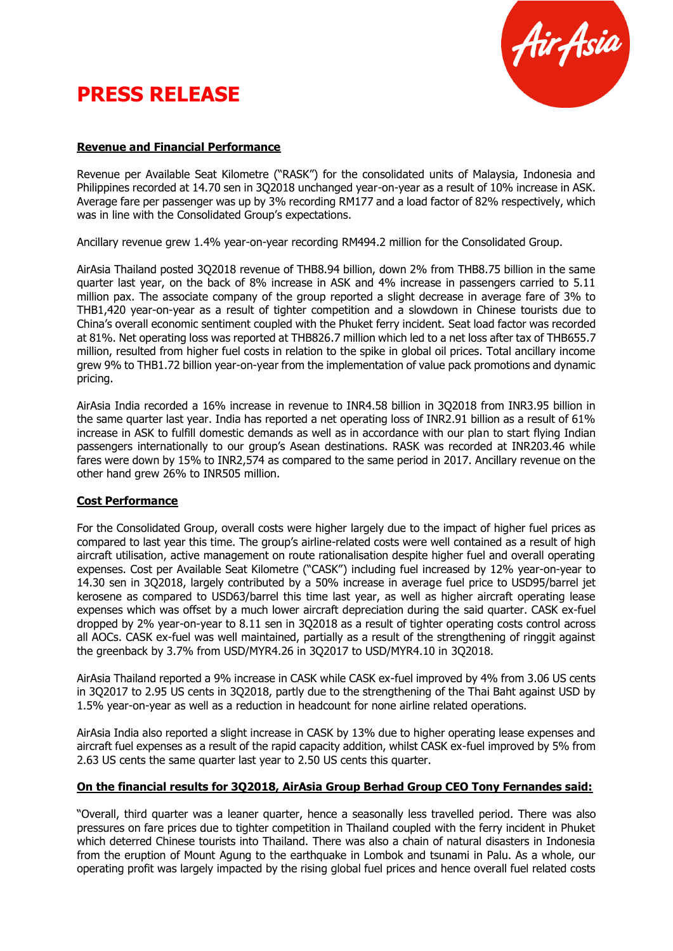# **PRESS RELEASE**



## **Revenue and Financial Performance**

Revenue per Available Seat Kilometre ("RASK") for the consolidated units of Malaysia, Indonesia and Philippines recorded at 14.70 sen in 3Q2018 unchanged year-on-year as a result of 10% increase in ASK. Average fare per passenger was up by 3% recording RM177 and a load factor of 82% respectively, which was in line with the Consolidated Group's expectations.

Ancillary revenue grew 1.4% year-on-year recording RM494.2 million for the Consolidated Group.

AirAsia Thailand posted 3Q2018 revenue of THB8.94 billion, down 2% from THB8.75 billion in the same quarter last year, on the back of 8% increase in ASK and 4% increase in passengers carried to 5.11 million pax. The associate company of the group reported a slight decrease in average fare of 3% to THB1,420 year-on-year as a result of tighter competition and a slowdown in Chinese tourists due to China's overall economic sentiment coupled with the Phuket ferry incident. Seat load factor was recorded at 81%. Net operating loss was reported at THB826.7 million which led to a net loss after tax of THB655.7 million, resulted from higher fuel costs in relation to the spike in global oil prices. Total ancillary income grew 9% to THB1.72 billion year-on-year from the implementation of value pack promotions and dynamic pricing.

AirAsia India recorded a 16% increase in revenue to INR4.58 billion in 3Q2018 from INR3.95 billion in the same quarter last year. India has reported a net operating loss of INR2.91 billion as a result of 61% increase in ASK to fulfill domestic demands as well as in accordance with our plan to start flying Indian passengers internationally to our group's Asean destinations. RASK was recorded at INR203.46 while fares were down by 15% to INR2,574 as compared to the same period in 2017. Ancillary revenue on the other hand grew 26% to INR505 million.

#### **Cost Performance**

For the Consolidated Group, overall costs were higher largely due to the impact of higher fuel prices as compared to last year this time. The group's airline-related costs were well contained as a result of high aircraft utilisation, active management on route rationalisation despite higher fuel and overall operating expenses. Cost per Available Seat Kilometre ("CASK") including fuel increased by 12% year-on-year to 14.30 sen in 3Q2018, largely contributed by a 50% increase in average fuel price to USD95/barrel jet kerosene as compared to USD63/barrel this time last year, as well as higher aircraft operating lease expenses which was offset by a much lower aircraft depreciation during the said quarter. CASK ex-fuel dropped by 2% year-on-year to 8.11 sen in 3Q2018 as a result of tighter operating costs control across all AOCs. CASK ex-fuel was well maintained, partially as a result of the strengthening of ringgit against the greenback by 3.7% from USD/MYR4.26 in 3Q2017 to USD/MYR4.10 in 3Q2018.

AirAsia Thailand reported a 9% increase in CASK while CASK ex-fuel improved by 4% from 3.06 US cents in 3Q2017 to 2.95 US cents in 3Q2018, partly due to the strengthening of the Thai Baht against USD by 1.5% year-on-year as well as a reduction in headcount for none airline related operations.

AirAsia India also reported a slight increase in CASK by 13% due to higher operating lease expenses and aircraft fuel expenses as a result of the rapid capacity addition, whilst CASK ex-fuel improved by 5% from 2.63 US cents the same quarter last year to 2.50 US cents this quarter.

#### **On the financial results for 3Q2018, AirAsia Group Berhad Group CEO Tony Fernandes said:**

"Overall, third quarter was a leaner quarter, hence a seasonally less travelled period. There was also pressures on fare prices due to tighter competition in Thailand coupled with the ferry incident in Phuket which deterred Chinese tourists into Thailand. There was also a chain of natural disasters in Indonesia from the eruption of Mount Agung to the earthquake in Lombok and tsunami in Palu. As a whole, our operating profit was largely impacted by the rising global fuel prices and hence overall fuel related costs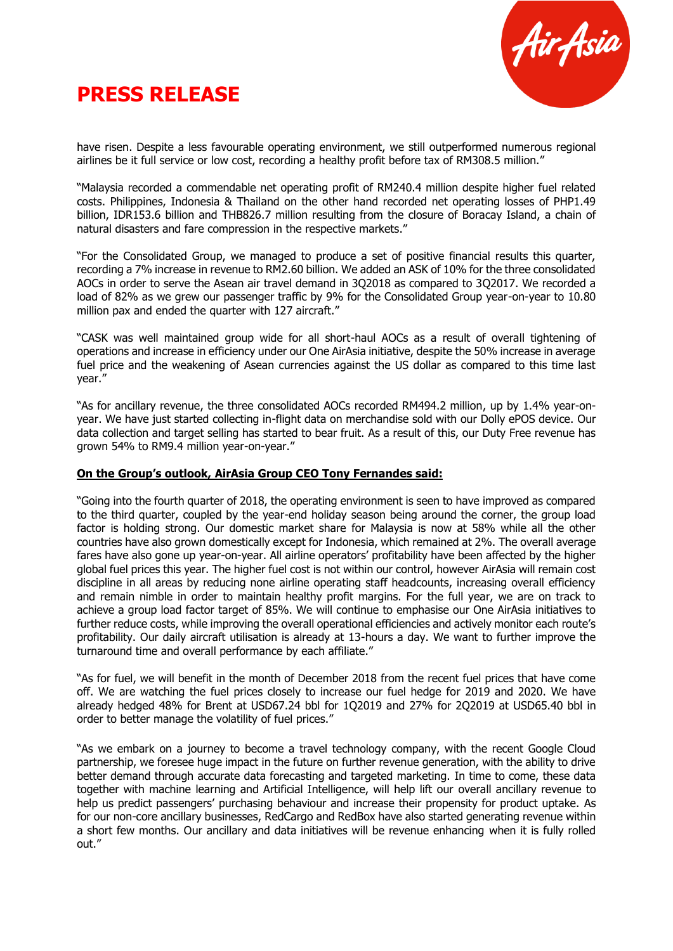



have risen. Despite a less favourable operating environment, we still outperformed numerous regional airlines be it full service or low cost, recording a healthy profit before tax of RM308.5 million."

"Malaysia recorded a commendable net operating profit of RM240.4 million despite higher fuel related costs. Philippines, Indonesia & Thailand on the other hand recorded net operating losses of PHP1.49 billion, IDR153.6 billion and THB826.7 million resulting from the closure of Boracay Island, a chain of natural disasters and fare compression in the respective markets."

"For the Consolidated Group, we managed to produce a set of positive financial results this quarter, recording a 7% increase in revenue to RM2.60 billion. We added an ASK of 10% for the three consolidated AOCs in order to serve the Asean air travel demand in 3Q2018 as compared to 3Q2017. We recorded a load of 82% as we grew our passenger traffic by 9% for the Consolidated Group year-on-year to 10.80 million pax and ended the quarter with 127 aircraft."

"CASK was well maintained group wide for all short-haul AOCs as a result of overall tightening of operations and increase in efficiency under our One AirAsia initiative, despite the 50% increase in average fuel price and the weakening of Asean currencies against the US dollar as compared to this time last year."

"As for ancillary revenue, the three consolidated AOCs recorded RM494.2 million, up by 1.4% year-onyear. We have just started collecting in-flight data on merchandise sold with our Dolly ePOS device. Our data collection and target selling has started to bear fruit. As a result of this, our Duty Free revenue has grown 54% to RM9.4 million year-on-year."

#### **On the Group's outlook, AirAsia Group CEO Tony Fernandes said:**

"Going into the fourth quarter of 2018, the operating environment is seen to have improved as compared to the third quarter, coupled by the year-end holiday season being around the corner, the group load factor is holding strong. Our domestic market share for Malaysia is now at 58% while all the other countries have also grown domestically except for Indonesia, which remained at 2%. The overall average fares have also gone up year-on-year. All airline operators' profitability have been affected by the higher global fuel prices this year. The higher fuel cost is not within our control, however AirAsia will remain cost discipline in all areas by reducing none airline operating staff headcounts, increasing overall efficiency and remain nimble in order to maintain healthy profit margins. For the full year, we are on track to achieve a group load factor target of 85%. We will continue to emphasise our One AirAsia initiatives to further reduce costs, while improving the overall operational efficiencies and actively monitor each route's profitability. Our daily aircraft utilisation is already at 13-hours a day. We want to further improve the turnaround time and overall performance by each affiliate."

"As for fuel, we will benefit in the month of December 2018 from the recent fuel prices that have come off. We are watching the fuel prices closely to increase our fuel hedge for 2019 and 2020. We have already hedged 48% for Brent at USD67.24 bbl for 1Q2019 and 27% for 2Q2019 at USD65.40 bbl in order to better manage the volatility of fuel prices."

"As we embark on a journey to become a travel technology company, with the recent Google Cloud partnership, we foresee huge impact in the future on further revenue generation, with the ability to drive better demand through accurate data forecasting and targeted marketing. In time to come, these data together with machine learning and Artificial Intelligence, will help lift our overall ancillary revenue to help us predict passengers' purchasing behaviour and increase their propensity for product uptake. As for our non-core ancillary businesses, RedCargo and RedBox have also started generating revenue within a short few months. Our ancillary and data initiatives will be revenue enhancing when it is fully rolled out."